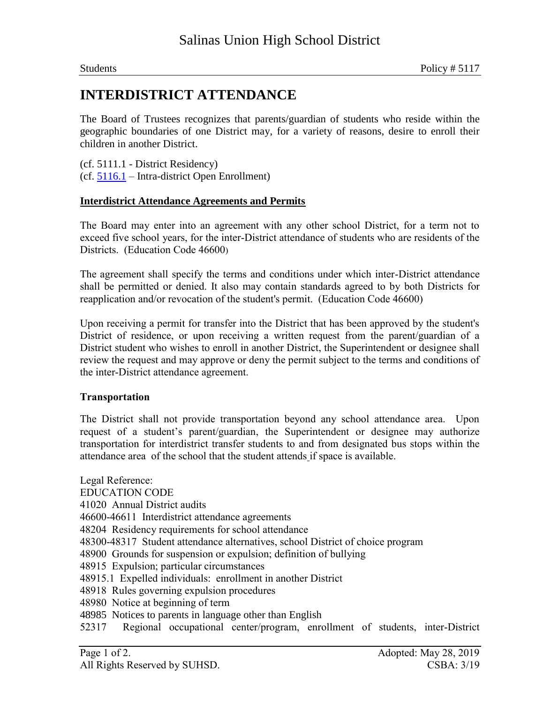## **INTERDISTRICT ATTENDANCE**

The Board of Trustees recognizes that parents/guardian of students who reside within the geographic boundaries of one District may, for a variety of reasons, desire to enroll their children in another District.

(cf. 5111.1 - District Residency) (cf. 5116.1 – Intra-district Open Enrollment)

## **Interdistrict Attendance Agreements and Permits**

The Board may enter into an agreement with any other school District, for a term not to exceed five school years, for the inter-District attendance of students who are residents of the Districts. (Education Code 46600)

The agreement shall specify the terms and conditions under which inter-District attendance shall be permitted or denied. It also may contain standards agreed to by both Districts for reapplication and/or revocation of the student's permit. (Education Code 46600)

Upon receiving a permit for transfer into the District that has been approved by the student's District of residence, or upon receiving a written request from the parent/guardian of a District student who wishes to enroll in another District, the Superintendent or designee shall review the request and may approve or deny the permit subject to the terms and conditions of the inter-District attendance agreement.

## **Transportation**

The District shall not provide transportation beyond any school attendance area. Upon request of a student's parent/guardian, the Superintendent or designee may authorize transportation for interdistrict transfer students to and from designated bus stops within the attendance area of the school that the student attends if space is available.

Legal Reference: EDUCATION CODE 41020 Annual District audits 46600-46611 Interdistrict attendance agreements 48204 Residency requirements for school attendance 48300-48317 Student attendance alternatives, school District of choice program 48900 Grounds for suspension or expulsion; definition of bullying 48915 Expulsion; particular circumstances 48915.1 Expelled individuals: enrollment in another District 48918 Rules governing expulsion procedures 48980 Notice at beginning of term 48985 Notices to parents in language other than English 52317 Regional occupational center/program, enrollment of students, inter-District